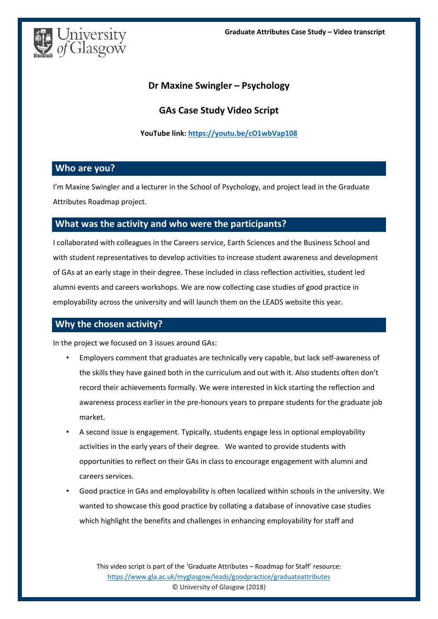

## **Dr Maxine Swingler – Psychology**

# **GAs Case Study Video Script**

#### **YouTube link: <https://youtu.be/cO1wbVap108>**

### **Who are you?**

I'm Maxine Swingler and a lecturer in the School of Psychology, and project lead in the Graduate Attributes Roadmap project.

## **What was the activity and who were the participants?**

I collaborated with colleagues in the Careers service, Earth Sciences and the Business School and with student representatives to develop activities to increase student awareness and development of GAs at an early stage in their degree. These included in class reflection activities, student led alumni events and careers workshops. We are now collecting case studies of good practice in employability across the university and will launch them on the LEADS website this year.

## **Why the chosen activity?**

In the project we focused on 3 issues around GAs:

- Employers comment that graduates are technically very capable, but lack self-awareness of the skills they have gained both in the curriculum and out with it. Also students often don't record their achievements formally. We were interested in kick starting the reflection and awareness process earlier in the pre-honours years to prepare students for the graduate job market.
- A second issue is engagement. Typically, students engage less in optional employability activities in the early years of their degree. We wanted to provide students with opportunities to reflect on their GAs in class to encourage engagement with alumni and careers services.
- Good practice in GAs and employability is often localized within schools in the university. We wanted to showcase this good practice by collating a database of innovative case studies which highlight the benefits and challenges in enhancing employability for staff and

This video script is part of the 'Graduate Attributes – Roadmap for Staff' resource: <https://www.gla.ac.uk/myglasgow/leads/goodpractice/graduateattributes> © University of Glasgow (2018)